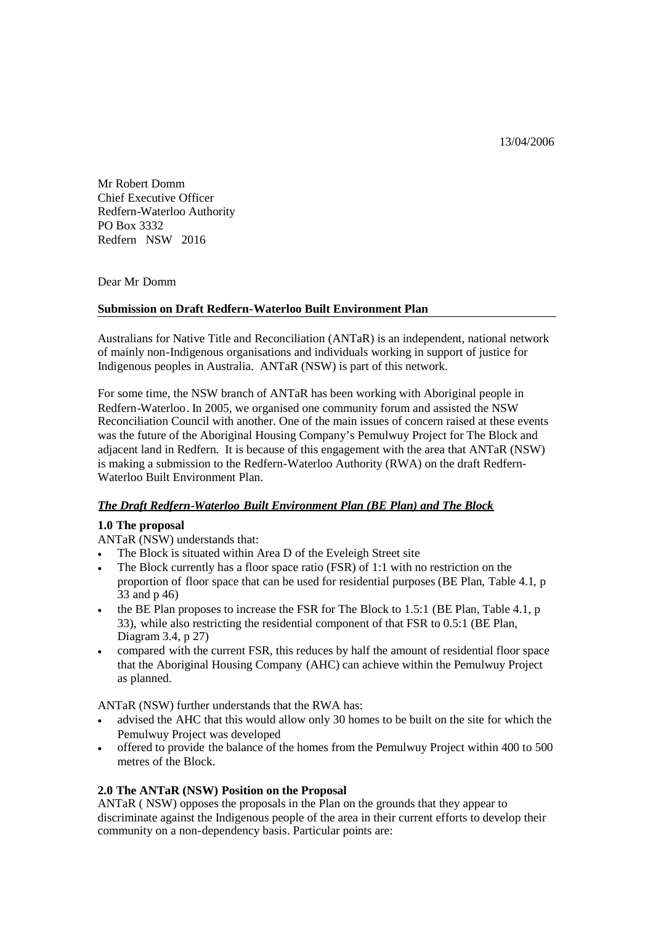13/04/2006

Mr Robert Domm Chief Executive Officer Redfern-Waterloo Authority PO Box 3332 Redfern NSW 2016

Dear Mr Domm

#### **Submission on Draft Redfern-Waterloo Built Environment Plan**

Australians for Native Title and Reconciliation (ANTaR) is an independent, national network of mainly non-Indigenous organisations and individuals working in support of justice for Indigenous peoples in Australia. ANTaR (NSW) is part of this network.

For some time, the NSW branch of ANTaR has been working with Aboriginal people in Redfern-Waterloo. In 2005, we organised one community forum and assisted the NSW Reconciliation Council with another. One of the main issues of concern raised at these events was the future of the Aboriginal Housing Company's Pemulwuy Project for The Block and adjacent land in Redfern. It is because of this engagement with the area that ANTaR (NSW) is making a submission to the Redfern-Waterloo Authority (RWA) on the draft Redfern-Waterloo Built Environment Plan.

## *The Draft Redfern-Waterloo Built Environment Plan (BE Plan) and The Block*

#### **1.0 The proposal**

ANTaR (NSW) understands that:

- The Block is situated within Area D of the Eveleigh Street site
- The Block currently has a floor space ratio (FSR) of 1:1 with no restriction on the proportion of floor space that can be used for residential purposes (BE Plan, Table 4.1, p 33 and p 46)
- $\bullet$  the BE Plan proposes to increase the FSR for The Block to 1.5:1 (BE Plan, Table 4.1, p 33), while also restricting the residential component of that FSR to 0.5:1 (BE Plan, Diagram 3.4, p 27)
- compared with the current FSR, this reduces by half the amount of residential floor space that the Aboriginal Housing Company (AHC) can achieve within the Pemulwuy Project as planned.

ANTaR (NSW) further understands that the RWA has:

- advised the AHC that this would allow only 30 homes to be built on the site for which the Pemulwuy Project was developed
- offered to provide the balance of the homes from the Pemulwuy Project within 400 to 500 metres of the Block.

## **2.0 The ANTaR (NSW) Position on the Proposal**

ANTaR ( NSW) opposes the proposals in the Plan on the grounds that they appear to discriminate against the Indigenous people of the area in their current efforts to develop their community on a non-dependency basis. Particular points are: